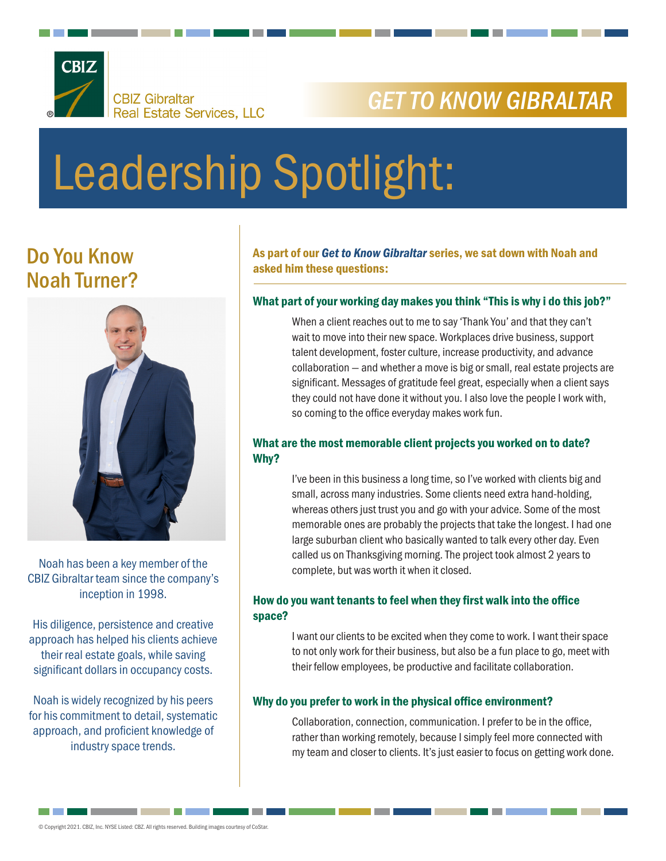

## *GET TO KNOW GIBRALTAR*

# Leadership Spotlight:

### Do You Know Noah Turner?



Noah has been a key member of the CBIZ Gibraltar team since the company's inception in 1998.

His diligence, persistence and creative approach has helped his clients achieve their real estate goals, while saving significant dollars in occupancy costs.

Noah is widely recognized by his peers for his commitment to detail, systematic approach, and proficient knowledge of industry space trends.

As part of our *Get to Know Gibraltar* series, we sat down with Noah and asked him these questions:

#### What part of your working day makes you think "This is why i do this job?"

When a client reaches out to me to say 'Thank You' and that they can't wait to move into their new space. Workplaces drive business, support talent development, foster culture, increase productivity, and advance collaboration — and whether a move is big or small, real estate projects are significant. Messages of gratitude feel great, especially when a client says they could not have done it without you. I also love the people I work with, so coming to the office everyday makes work fun.

#### What are the most memorable client projects you worked on to date? Why?

I've been in this business a long time, so I've worked with clients big and small, across many industries. Some clients need extra hand-holding, whereas others just trust you and go with your advice. Some of the most memorable ones are probably the projects that take the longest. I had one large suburban client who basically wanted to talk every other day. Even called us on Thanksgiving morning. The project took almost 2 years to complete, but was worth it when it closed.

#### How do you want tenants to feel when they first walk into the office space?

I want our clients to be excited when they come to work. I want their space to not only work for their business, but also be a fun place to go, meet with their fellow employees, be productive and facilitate collaboration.

#### Why do you prefer to work in the physical office environment?

Collaboration, connection, communication. I prefer to be in the office, rather than working remotely, because I simply feel more connected with my team and closer to clients. It's just easier to focus on getting work done.